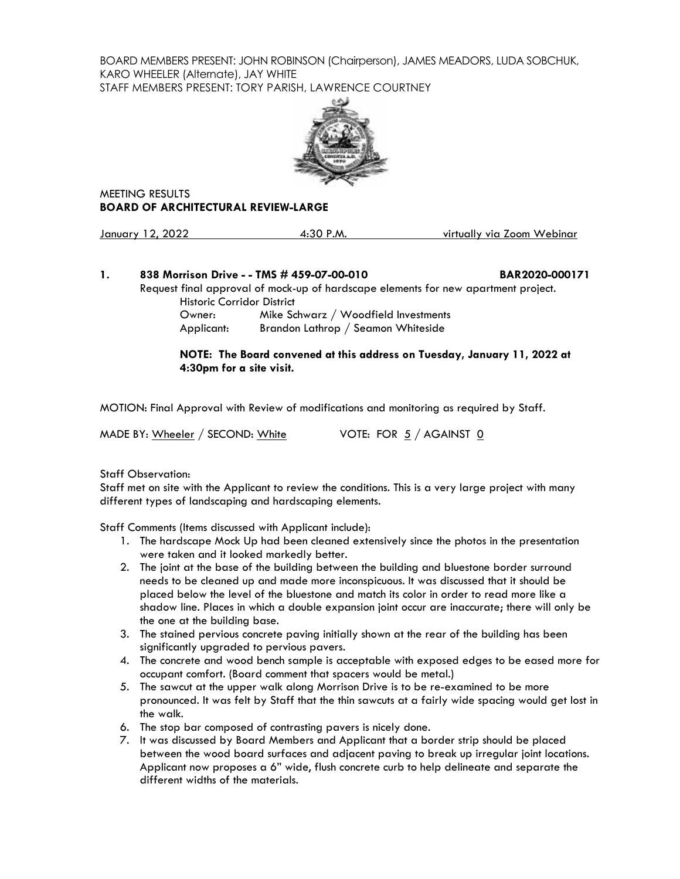BOARD MEMBERS PRESENT: JOHN ROBINSON (Chairperson), JAMES MEADORS, LUDA SOBCHUK, KARO WHEELER (Alternate), JAY WHITE STAFF MEMBERS PRESENT: TORY PARISH, LAWRENCE COURTNEY



MEETING RESULTS **BOARD OF ARCHITECTURAL REVIEW-LARGE**

| January 12, 2022 | $4:30$ P.M. | virtually via Zoom Webinar |
|------------------|-------------|----------------------------|
|                  |             |                            |

# **1. 838 Morrison Drive - - TMS # 459-07-00-010 BAR2020-000171**

Request final approval of mock-up of hardscape elements for new apartment project. Historic Corridor District

Owner: Mike Schwarz / Woodfield Investments Applicant: Brandon Lathrop / Seamon Whiteside

## **NOTE: The Board convened at this address on Tuesday, January 11, 2022 at 4:30pm for a site visit.**

MOTION: Final Approval with Review of modifications and monitoring as required by Staff.

MADE BY: Wheeler / SECOND: White  $V$  VOTE: FOR  $5/$  AGAINST  $\underline{0}$ 

Staff Observation:

Staff met on site with the Applicant to review the conditions. This is a very large project with many different types of landscaping and hardscaping elements.

Staff Comments (Items discussed with Applicant include):

- 1. The hardscape Mock Up had been cleaned extensively since the photos in the presentation were taken and it looked markedly better.
- 2. The joint at the base of the building between the building and bluestone border surround needs to be cleaned up and made more inconspicuous. It was discussed that it should be placed below the level of the bluestone and match its color in order to read more like a shadow line. Places in which a double expansion joint occur are inaccurate; there will only be the one at the building base.
- 3. The stained pervious concrete paving initially shown at the rear of the building has been significantly upgraded to pervious pavers.
- 4. The concrete and wood bench sample is acceptable with exposed edges to be eased more for occupant comfort. (Board comment that spacers would be metal.)
- 5. The sawcut at the upper walk along Morrison Drive is to be re-examined to be more pronounced. It was felt by Staff that the thin sawcuts at a fairly wide spacing would get lost in the walk.
- 6. The stop bar composed of contrasting pavers is nicely done.
- 7. It was discussed by Board Members and Applicant that a border strip should be placed between the wood board surfaces and adjacent paving to break up irregular joint locations. Applicant now proposes a 6" wide, flush concrete curb to help delineate and separate the different widths of the materials.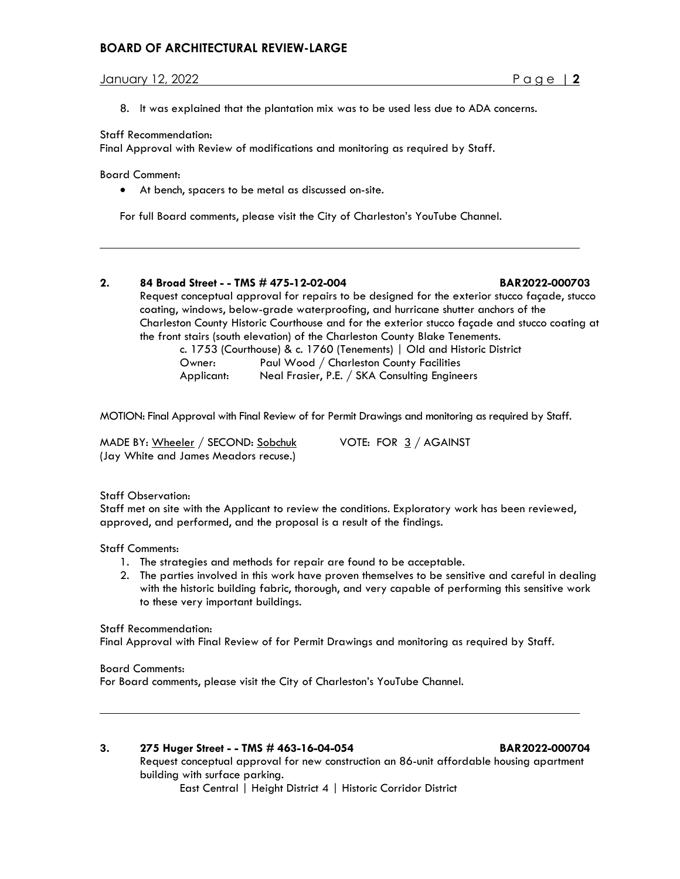# **BOARD OF ARCHITECTURAL REVIEW-LARGE**

# January 12, 2022 Page | **2**

- 
- 8. It was explained that the plantation mix was to be used less due to ADA concerns.

### Staff Recommendation:

Final Approval with Review of modifications and monitoring as required by Staff.

Board Comment:

• At bench, spacers to be metal as discussed on-site.

For full Board comments, please visit the City of Charleston's YouTube Channel.

# **2. 84 Broad Street - - TMS # 475-12-02-004 BAR2022-000703**

Request conceptual approval for repairs to be designed for the exterior stucco façade, stucco coating, windows, below-grade waterproofing, and hurricane shutter anchors of the Charleston County Historic Courthouse and for the exterior stucco façade and stucco coating at

the front stairs (south elevation) of the Charleston County Blake Tenements.

c. 1753 (Courthouse) & c. 1760 (Tenements) | Old and Historic District Owner: Paul Wood / Charleston County Facilities Applicant: Neal Frasier, P.E. / SKA Consulting Engineers

MOTION: Final Approval with Final Review of for Permit Drawings and monitoring as required by Staff.

MADE BY: Wheeler / SECOND: Sobchuk VOTE: FOR 3 / AGAINST (Jay White and James Meadors recuse.)

# Staff Observation:

Staff met on site with the Applicant to review the conditions. Exploratory work has been reviewed, approved, and performed, and the proposal is a result of the findings.

Staff Comments:

- 1. The strategies and methods for repair are found to be acceptable.
- 2. The parties involved in this work have proven themselves to be sensitive and careful in dealing with the historic building fabric, thorough, and very capable of performing this sensitive work to these very important buildings.

### Staff Recommendation:

Final Approval with Final Review of for Permit Drawings and monitoring as required by Staff.

# Board Comments:

For Board comments, please visit the City of Charleston's YouTube Channel.

# **3. 275 Huger Street - - TMS # 463-16-04-054 BAR2022-000704**

Request conceptual approval for new construction an 86-unit affordable housing apartment building with surface parking.

East Central | Height District 4 | Historic Corridor District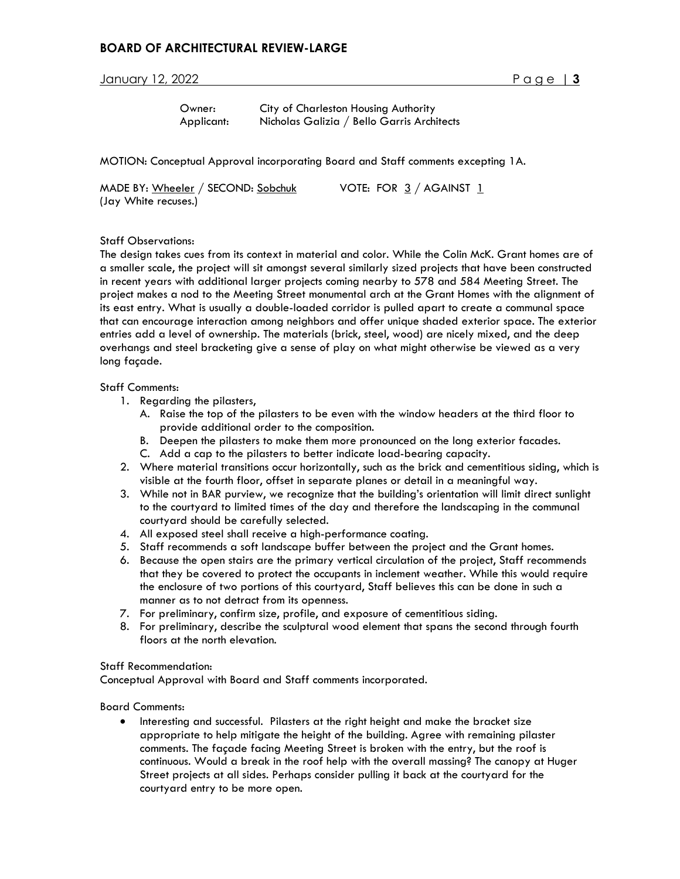# **BOARD OF ARCHITECTURAL REVIEW-LARGE**

# January 12, 2022 **Page 13**

| Owner:     | City of Charleston Housing Authority       |
|------------|--------------------------------------------|
| Applicant: | Nicholas Galizia / Bello Garris Architects |

MOTION: Conceptual Approval incorporating Board and Staff comments excepting 1A.

| MADE BY: Wheeler / SECOND: Sobchuk |  |  | VOTE: FOR $3/$ AGAINST $1$ |  |
|------------------------------------|--|--|----------------------------|--|
| (Jay White recuses.)               |  |  |                            |  |

#### Staff Observations:

The design takes cues from its context in material and color. While the Colin McK. Grant homes are of a smaller scale, the project will sit amongst several similarly sized projects that have been constructed in recent years with additional larger projects coming nearby to 578 and 584 Meeting Street. The project makes a nod to the Meeting Street monumental arch at the Grant Homes with the alignment of its east entry. What is usually a double-loaded corridor is pulled apart to create a communal space that can encourage interaction among neighbors and offer unique shaded exterior space. The exterior entries add a level of ownership. The materials (brick, steel, wood) are nicely mixed, and the deep overhangs and steel bracketing give a sense of play on what might otherwise be viewed as a very long façade.

#### Staff Comments:

- 1. Regarding the pilasters,
	- A. Raise the top of the pilasters to be even with the window headers at the third floor to provide additional order to the composition.
	- B. Deepen the pilasters to make them more pronounced on the long exterior facades.
	- C. Add a cap to the pilasters to better indicate load-bearing capacity.
- 2. Where material transitions occur horizontally, such as the brick and cementitious siding, which is visible at the fourth floor, offset in separate planes or detail in a meaningful way.
- 3. While not in BAR purview, we recognize that the building's orientation will limit direct sunlight to the courtyard to limited times of the day and therefore the landscaping in the communal courtyard should be carefully selected.
- 4. All exposed steel shall receive a high-performance coating.
- 5. Staff recommends a soft landscape buffer between the project and the Grant homes.
- 6. Because the open stairs are the primary vertical circulation of the project, Staff recommends that they be covered to protect the occupants in inclement weather. While this would require the enclosure of two portions of this courtyard, Staff believes this can be done in such a manner as to not detract from its openness.
- 7. For preliminary, confirm size, profile, and exposure of cementitious siding.
- 8. For preliminary, describe the sculptural wood element that spans the second through fourth floors at the north elevation.

#### Staff Recommendation:

Conceptual Approval with Board and Staff comments incorporated.

Board Comments:

• Interesting and successful. Pilasters at the right height and make the bracket size appropriate to help mitigate the height of the building. Agree with remaining pilaster comments. The façade facing Meeting Street is broken with the entry, but the roof is continuous. Would a break in the roof help with the overall massing? The canopy at Huger Street projects at all sides. Perhaps consider pulling it back at the courtyard for the courtyard entry to be more open.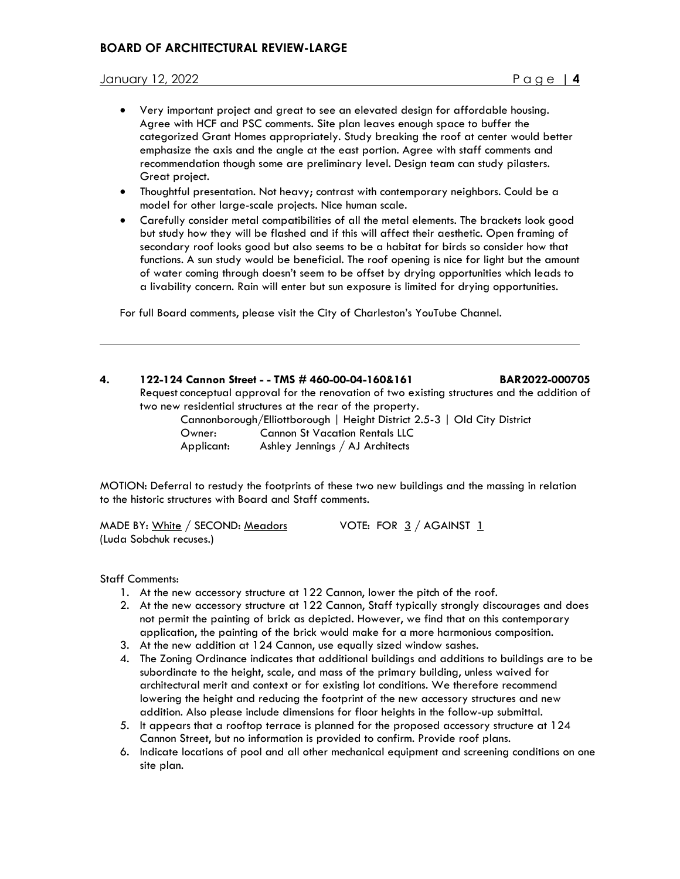- Very important project and great to see an elevated design for affordable housing. Agree with HCF and PSC comments. Site plan leaves enough space to buffer the categorized Grant Homes appropriately. Study breaking the roof at center would better emphasize the axis and the angle at the east portion. Agree with staff comments and recommendation though some are preliminary level. Design team can study pilasters. Great project.
- Thoughtful presentation. Not heavy; contrast with contemporary neighbors. Could be a model for other large-scale projects. Nice human scale.
- Carefully consider metal compatibilities of all the metal elements. The brackets look good but study how they will be flashed and if this will affect their aesthetic. Open framing of secondary roof looks good but also seems to be a habitat for birds so consider how that functions. A sun study would be beneficial. The roof opening is nice for light but the amount of water coming through doesn't seem to be offset by drying opportunities which leads to a livability concern. Rain will enter but sun exposure is limited for drying opportunities.

For full Board comments, please visit the City of Charleston's YouTube Channel.

# **4. 122-124 Cannon Street - - TMS # 460-00-04-160&161 BAR2022-000705**

Request conceptual approval for the renovation of two existing structures and the addition of two new residential structures at the rear of the property.

 Cannonborough/Elliottborough | Height District 2.5-3 | Old City District Owner: Cannon St Vacation Rentals LLC Applicant: Ashley Jennings / AJ Architects

MOTION: Deferral to restudy the footprints of these two new buildings and the massing in relation to the historic structures with Board and Staff comments.

MADE BY: White / SECOND: Meadors VOTE: FOR 3 / AGAINST 1 (Luda Sobchuk recuses.)

Staff Comments:

- 1. At the new accessory structure at 122 Cannon, lower the pitch of the roof.
- 2. At the new accessory structure at 122 Cannon, Staff typically strongly discourages and does not permit the painting of brick as depicted. However, we find that on this contemporary application, the painting of the brick would make for a more harmonious composition.
- 3. At the new addition at 124 Cannon, use equally sized window sashes.
- 4. The Zoning Ordinance indicates that additional buildings and additions to buildings are to be subordinate to the height, scale, and mass of the primary building, unless waived for architectural merit and context or for existing lot conditions. We therefore recommend lowering the height and reducing the footprint of the new accessory structures and new addition. Also please include dimensions for floor heights in the follow-up submittal.
- 5. It appears that a rooftop terrace is planned for the proposed accessory structure at 124 Cannon Street, but no information is provided to confirm. Provide roof plans.
- 6. Indicate locations of pool and all other mechanical equipment and screening conditions on one site plan.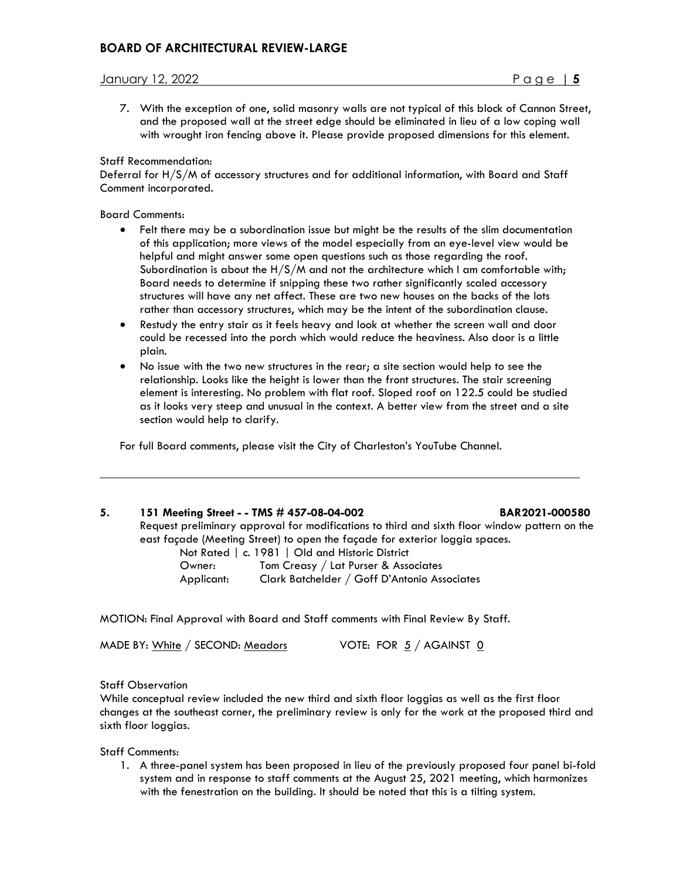7. With the exception of one, solid masonry walls are not typical of this block of Cannon Street, and the proposed wall at the street edge should be eliminated in lieu of a low coping wall with wrought iron fencing above it. Please provide proposed dimensions for this element.

#### Staff Recommendation:

Deferral for H/S/M of accessory structures and for additional information, with Board and Staff Comment incorporated.

#### Board Comments:

- Felt there may be a subordination issue but might be the results of the slim documentation of this application; more views of the model especially from an eye-level view would be helpful and might answer some open questions such as those regarding the roof. Subordination is about the  $H/S/M$  and not the architecture which I am comfortable with; Board needs to determine if snipping these two rather significantly scaled accessory structures will have any net affect. These are two new houses on the backs of the lots rather than accessory structures, which may be the intent of the subordination clause.
- Restudy the entry stair as it feels heavy and look at whether the screen wall and door could be recessed into the porch which would reduce the heaviness. Also door is a little plain.
- No issue with the two new structures in the rear; a site section would help to see the relationship. Looks like the height is lower than the front structures. The stair screening element is interesting. No problem with flat roof. Sloped roof on 122.5 could be studied as it looks very steep and unusual in the context. A better view from the street and a site section would help to clarify.

For full Board comments, please visit the City of Charleston's YouTube Channel.

### **5. 151 Meeting Street - - TMS # 457-08-04-002 BAR2021-000580**

Request preliminary approval for modifications to third and sixth floor window pattern on the east façade (Meeting Street) to open the façade for exterior loggia spaces.

|            | Not Rated   c. 1981   Old and Historic District |
|------------|-------------------------------------------------|
| Owner:     | Tom Creasy / Lat Purser & Associates            |
| Applicant: | Clark Batchelder / Goff D'Antonio Associates    |

MOTION: Final Approval with Board and Staff comments with Final Review By Staff.

MADE BY:  $White / SECOND: Meadors$  VOTE: FOR  $5 / AGAINST 0$ 

#### Staff Observation

While conceptual review included the new third and sixth floor loggias as well as the first floor changes at the southeast corner, the preliminary review is only for the work at the proposed third and sixth floor loggias.

Staff Comments:

1. A three-panel system has been proposed in lieu of the previously proposed four panel bi-fold system and in response to staff comments at the August 25, 2021 meeting, which harmonizes with the fenestration on the building. It should be noted that this is a tilting system.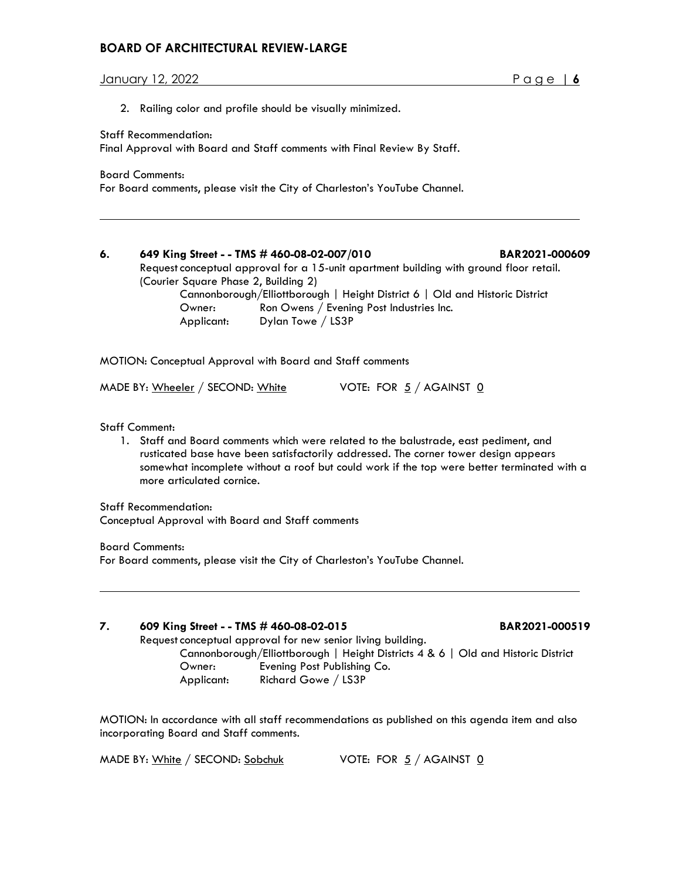# **BOARD OF ARCHITECTURAL REVIEW-LARGE**

January 12, 2022 Page | **6**

2. Railing color and profile should be visually minimized.

Staff Recommendation:

Final Approval with Board and Staff comments with Final Review By Staff.

Board Comments:

For Board comments, please visit the City of Charleston's YouTube Channel.

# **6. 649 King Street - - TMS # 460-08-02-007/010 BAR2021-000609**

Request conceptual approval for a 15-unit apartment building with ground floor retail. (Courier Square Phase 2, Building 2)

Cannonborough/Elliottborough | Height District 6 | Old and Historic District Owner: Ron Owens / Evening Post Industries Inc. Applicant: Dylan Towe / LS3P

MOTION: Conceptual Approval with Board and Staff comments

MADE BY: Wheeler / SECOND: White  $V$  VOTE: FOR  $5/$  AGAINST  $\underline{0}$ 

Staff Comment:

1. Staff and Board comments which were related to the balustrade, east pediment, and rusticated base have been satisfactorily addressed. The corner tower design appears somewhat incomplete without a roof but could work if the top were better terminated with a more articulated cornice.

Staff Recommendation:

Conceptual Approval with Board and Staff comments

Board Comments: For Board comments, please visit the City of Charleston's YouTube Channel.

### **7. 609 King Street - - TMS # 460-08-02-015 BAR2021-000519**

Request conceptual approval for new senior living building.

Cannonborough/Elliottborough | Height Districts 4 & 6 | Old and Historic District Owner: Evening Post Publishing Co. Applicant: Richard Gowe / LS3P

MOTION: In accordance with all staff recommendations as published on this agenda item and also incorporating Board and Staff comments.

MADE BY: White / SECOND: Sobchuk VOTE: FOR  $5/$  AGAINST  $\underline{0}$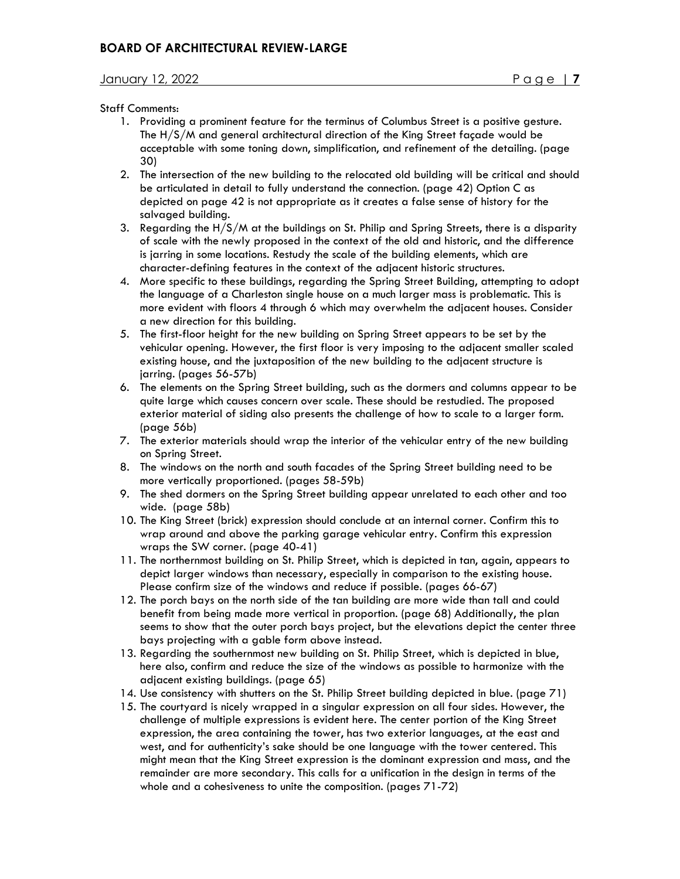#### Staff Comments:

- 1. Providing a prominent feature for the terminus of Columbus Street is a positive gesture. The H/S/M and general architectural direction of the King Street façade would be acceptable with some toning down, simplification, and refinement of the detailing. (page 30)
- 2. The intersection of the new building to the relocated old building will be critical and should be articulated in detail to fully understand the connection. (page 42) Option C as depicted on page 42 is not appropriate as it creates a false sense of history for the salvaged building.
- 3. Regarding the H/S/M at the buildings on St. Philip and Spring Streets, there is a disparity of scale with the newly proposed in the context of the old and historic, and the difference is jarring in some locations. Restudy the scale of the building elements, which are character-defining features in the context of the adjacent historic structures.
- 4. More specific to these buildings, regarding the Spring Street Building, attempting to adopt the language of a Charleston single house on a much larger mass is problematic. This is more evident with floors 4 through 6 which may overwhelm the adjacent houses. Consider a new direction for this building.
- 5. The first-floor height for the new building on Spring Street appears to be set by the vehicular opening. However, the first floor is very imposing to the adjacent smaller scaled existing house, and the juxtaposition of the new building to the adjacent structure is jarring. (pages 56-57b)
- 6. The elements on the Spring Street building, such as the dormers and columns appear to be quite large which causes concern over scale. These should be restudied. The proposed exterior material of siding also presents the challenge of how to scale to a larger form. (page 56b)
- 7. The exterior materials should wrap the interior of the vehicular entry of the new building on Spring Street.
- 8. The windows on the north and south facades of the Spring Street building need to be more vertically proportioned. (pages 58-59b)
- 9. The shed dormers on the Spring Street building appear unrelated to each other and too wide. (page 58b)
- 10. The King Street (brick) expression should conclude at an internal corner. Confirm this to wrap around and above the parking garage vehicular entry. Confirm this expression wraps the SW corner. (page 40-41)
- 11. The northernmost building on St. Philip Street, which is depicted in tan, again, appears to depict larger windows than necessary, especially in comparison to the existing house. Please confirm size of the windows and reduce if possible. (pages 66-67)
- 12. The porch bays on the north side of the tan building are more wide than tall and could benefit from being made more vertical in proportion. (page 68) Additionally, the plan seems to show that the outer porch bays project, but the elevations depict the center three bays projecting with a gable form above instead.
- 13. Regarding the southernmost new building on St. Philip Street, which is depicted in blue, here also, confirm and reduce the size of the windows as possible to harmonize with the adjacent existing buildings. (page 65)
- 14. Use consistency with shutters on the St. Philip Street building depicted in blue. (page 71)
- 15. The courtyard is nicely wrapped in a singular expression on all four sides. However, the challenge of multiple expressions is evident here. The center portion of the King Street expression, the area containing the tower, has two exterior languages, at the east and west, and for authenticity's sake should be one language with the tower centered. This might mean that the King Street expression is the dominant expression and mass, and the remainder are more secondary. This calls for a unification in the design in terms of the whole and a cohesiveness to unite the composition. (pages 71-72)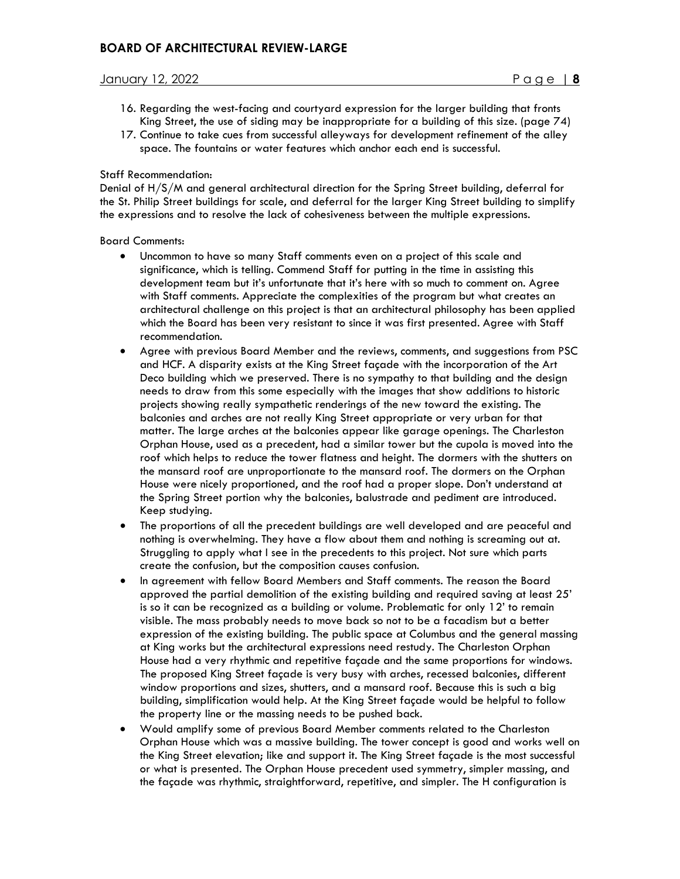- 16. Regarding the west-facing and courtyard expression for the larger building that fronts King Street, the use of siding may be inappropriate for a building of this size. (page 74)
- 17. Continue to take cues from successful alleyways for development refinement of the alley space. The fountains or water features which anchor each end is successful.

#### Staff Recommendation:

Denial of H/S/M and general architectural direction for the Spring Street building, deferral for the St. Philip Street buildings for scale, and deferral for the larger King Street building to simplify the expressions and to resolve the lack of cohesiveness between the multiple expressions.

#### Board Comments:

- Uncommon to have so many Staff comments even on a project of this scale and significance, which is telling. Commend Staff for putting in the time in assisting this development team but it's unfortunate that it's here with so much to comment on. Agree with Staff comments. Appreciate the complexities of the program but what creates an architectural challenge on this project is that an architectural philosophy has been applied which the Board has been very resistant to since it was first presented. Agree with Staff recommendation.
- Agree with previous Board Member and the reviews, comments, and suggestions from PSC and HCF. A disparity exists at the King Street façade with the incorporation of the Art Deco building which we preserved. There is no sympathy to that building and the design needs to draw from this some especially with the images that show additions to historic projects showing really sympathetic renderings of the new toward the existing. The balconies and arches are not really King Street appropriate or very urban for that matter. The large arches at the balconies appear like garage openings. The Charleston Orphan House, used as a precedent, had a similar tower but the cupola is moved into the roof which helps to reduce the tower flatness and height. The dormers with the shutters on the mansard roof are unproportionate to the mansard roof. The dormers on the Orphan House were nicely proportioned, and the roof had a proper slope. Don't understand at the Spring Street portion why the balconies, balustrade and pediment are introduced. Keep studying.
- The proportions of all the precedent buildings are well developed and are peaceful and nothing is overwhelming. They have a flow about them and nothing is screaming out at. Struggling to apply what I see in the precedents to this project. Not sure which parts create the confusion, but the composition causes confusion.
- In agreement with fellow Board Members and Staff comments. The reason the Board approved the partial demolition of the existing building and required saving at least 25' is so it can be recognized as a building or volume. Problematic for only 12' to remain visible. The mass probably needs to move back so not to be a facadism but a better expression of the existing building. The public space at Columbus and the general massing at King works but the architectural expressions need restudy. The Charleston Orphan House had a very rhythmic and repetitive façade and the same proportions for windows. The proposed King Street façade is very busy with arches, recessed balconies, different window proportions and sizes, shutters, and a mansard roof. Because this is such a big building, simplification would help. At the King Street façade would be helpful to follow the property line or the massing needs to be pushed back.
- Would amplify some of previous Board Member comments related to the Charleston Orphan House which was a massive building. The tower concept is good and works well on the King Street elevation; like and support it. The King Street façade is the most successful or what is presented. The Orphan House precedent used symmetry, simpler massing, and the façade was rhythmic, straightforward, repetitive, and simpler. The H configuration is